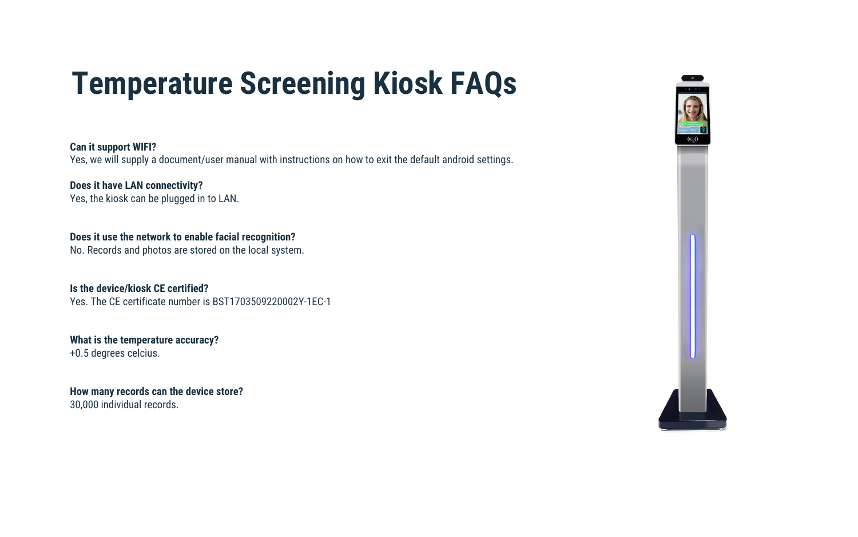**Can it support WIFI?**

Yes, we will supply a document/user manual with instructions on how to exit the default android settings.

**Does it have LAN connectivity?** Yes, the kiosk can be plugged in to LAN.

**Does it use the network to enable facial recognition?**

No. Records and photos are stored on the local system.

**Is the device/kiosk CE certified?** Yes. The CE certificate number is BST1703509220002Y-1EC-1

### **What is the temperature accuracy?**

+0.5 degrees celcius.

# **How many records can the device store?**

30,000 individual records.



# **Temperature Screening Kiosk FAQs**